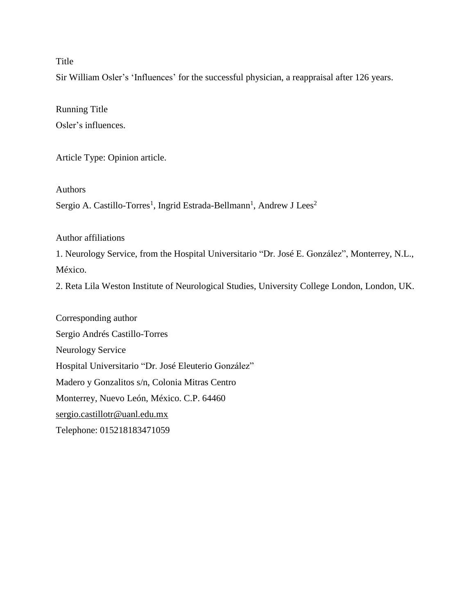# Title

Sir William Osler's 'Influences' for the successful physician, a reappraisal after 126 years.

Running Title Osler's influences.

Article Type: Opinion article.

Authors

Sergio A. Castillo-Torres<sup>1</sup>, Ingrid Estrada-Bellmann<sup>1</sup>, Andrew J Lees<sup>2</sup>

Author affiliations

1. Neurology Service, from the Hospital Universitario "Dr. José E. González", Monterrey, N.L., México.

2. Reta Lila Weston Institute of Neurological Studies, University College London, London, UK.

Corresponding author Sergio Andrés Castillo-Torres Neurology Service Hospital Universitario "Dr. José Eleuterio González" Madero y Gonzalitos s/n, Colonia Mitras Centro Monterrey, Nuevo León, México. C.P. 64460 [sergio.castillotr@uanl.edu.mx](mailto:sergio.castillotr@uanl.edu.mx) Telephone: 015218183471059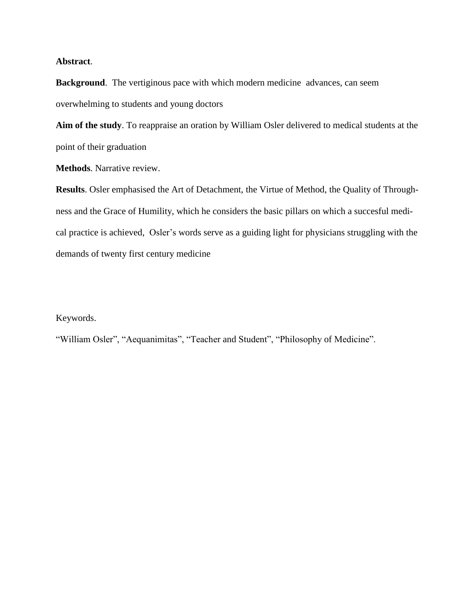## **Abstract**.

**Background**. The vertiginous pace with which modern medicine advances, can seem overwhelming to students and young doctors

**Aim of the study**. To reappraise an oration by William Osler delivered to medical students at the point of their graduation

**Methods**. Narrative review.

**Results**. Osler emphasised the Art of Detachment, the Virtue of Method, the Quality of Throughness and the Grace of Humility, which he considers the basic pillars on which a succesful medical practice is achieved, Osler's words serve as a guiding light for physicians struggling with the demands of twenty first century medicine

### Keywords.

"William Osler", "Aequanimitas", "Teacher and Student", "Philosophy of Medicine".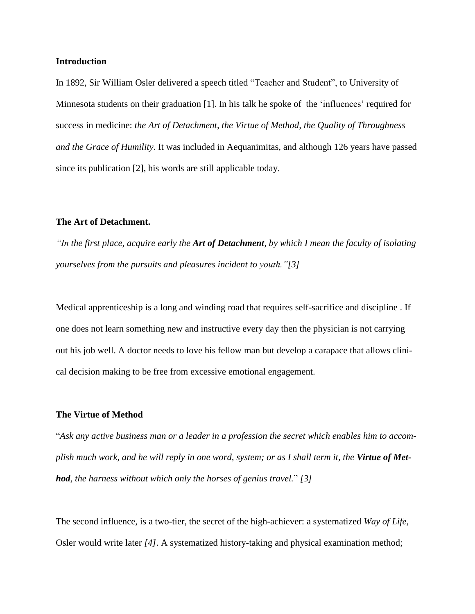### **Introduction**

In 1892, Sir William Osler delivered a speech titled "Teacher and Student", to University of Minnesota students on their graduation [1]. In his talk he spoke of the 'influences' required for success in medicine: *the Art of Detachment, the Virtue of Method, the Quality of Throughness and the Grace of Humility*. It was included in Aequanimitas, and although 126 years have passed since its publication [2], his words are still applicable today.

#### **The Art of Detachment.**

"In the first place, acquire early the Art of Detachment, by which I mean the faculty of isolating *yourselves from the pursuits and pleasures incident to youth."[3]*

Medical apprenticeship is a long and winding road that requires self-sacrifice and discipline . If one does not learn something new and instructive every day then the physician is not carrying out his job well. A doctor needs to love his fellow man but develop a carapace that allows clinical decision making to be free from excessive emotional engagement.

#### **The Virtue of Method**

"*Ask any active business man or a leader in a profession the secret which enables him to accom*plish much work, and he will reply in one word, system; or as I shall term it, the Virtue of Met*hod, the harness without which only the horses of genius travel.*" *[3]*

The second influence, is a two-tier, the secret of the high-achiever: a systematized *Way of Life*, Osler would write later *[4]*. A systematized history-taking and physical examination method;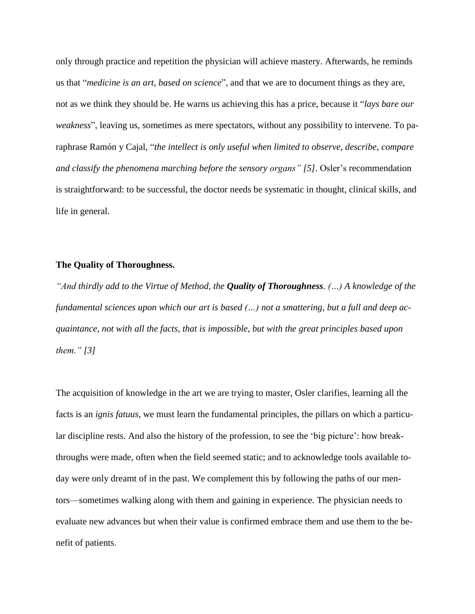only through practice and repetition the physician will achieve mastery. Afterwards, he reminds us that "*medicine is an art, based on science*", and that we are to document things as they are, not as we think they should be. He warns us achieving this has a price, because it "*lays bare our weakness*", leaving us, sometimes as mere spectators, without any possibility to intervene. To paraphrase Ramón y Cajal, "*the intellect is only useful when limited to observe, describe, compare and classify the phenomena marching before the sensory organs" [5]*. Osler's recommendation is straightforward: to be successful, the doctor needs be systematic in thought, clinical skills, and life in general.

### **The Quality of Thoroughness.**

*"And thirdly add to the Virtue of Method, the Quality of Thoroughness. (…) A knowledge of the fundamental sciences upon which our art is based (…) not a smattering, but a full and deep acquaintance, not with all the facts, that is impossible, but with the great principles based upon them." [3]*

The acquisition of knowledge in the art we are trying to master, Osler clarifies, learning all the facts is an *ignis fatuus*, we must learn the fundamental principles, the pillars on which a particular discipline rests. And also the history of the profession, to see the 'big picture': how breakthroughs were made, often when the field seemed static; and to acknowledge tools available today were only dreamt of in the past. We complement this by following the paths of our mentors—sometimes walking along with them and gaining in experience. The physician needs to evaluate new advances but when their value is confirmed embrace them and use them to the benefit of patients.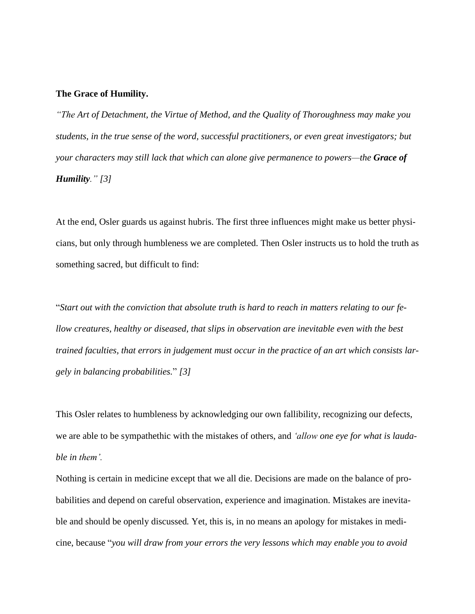#### **The Grace of Humility.**

*"The Art of Detachment, the Virtue of Method, and the Quality of Thoroughness may make you students, in the true sense of the word, successful practitioners, or even great investigators; but your characters may still lack that which can alone give permanence to powers—the Grace of Humility." [3]*

At the end, Osler guards us against hubris. The first three influences might make us better physicians, but only through humbleness we are completed. Then Osler instructs us to hold the truth as something sacred, but difficult to find:

"Start out with the conviction that absolute truth is hard to reach in matters relating to our fe*llow creatures, healthy or diseased, that slips in observation are inevitable even with the best trained faculties, that errors in judgement must occur in the practice of an art which consists largely in balancing probabilities.*" *[3]*

This Osler relates to humbleness by acknowledging our own fallibility, recognizing our defects, we are able to be sympathethic with the mistakes of others, and *'allow one eye for what is laudable in them'.*

Nothing is certain in medicine except that we all die. Decisions are made on the balance of probabilities and depend on careful observation, experience and imagination. Mistakes are inevitable and should be openly discussed*.* Yet, this is, in no means an apology for mistakes in medicine, because "*you will draw from your errors the very lessons which may enable you to avoid*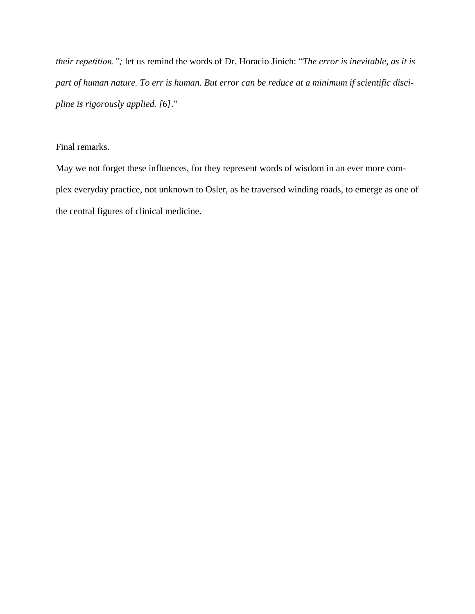*their repetition.";* let us remind the words of Dr. Horacio Jinich: "*The error is inevitable, as it is* part of human nature. To err is human. But error can be reduce at a minimum if scientific disci*pline is rigorously applied. [6]*."

## Final remarks.

May we not forget these influences, for they represent words of wisdom in an ever more complex everyday practice, not unknown to Osler, as he traversed winding roads, to emerge as one of the central figures of clinical medicine.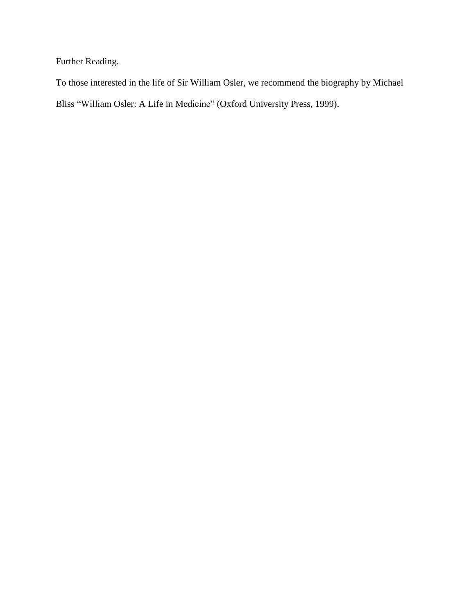Further Reading.

To those interested in the life of Sir William Osler, we recommend the biography by Michael Bliss "William Osler: A Life in Medicine" (Oxford University Press, 1999).